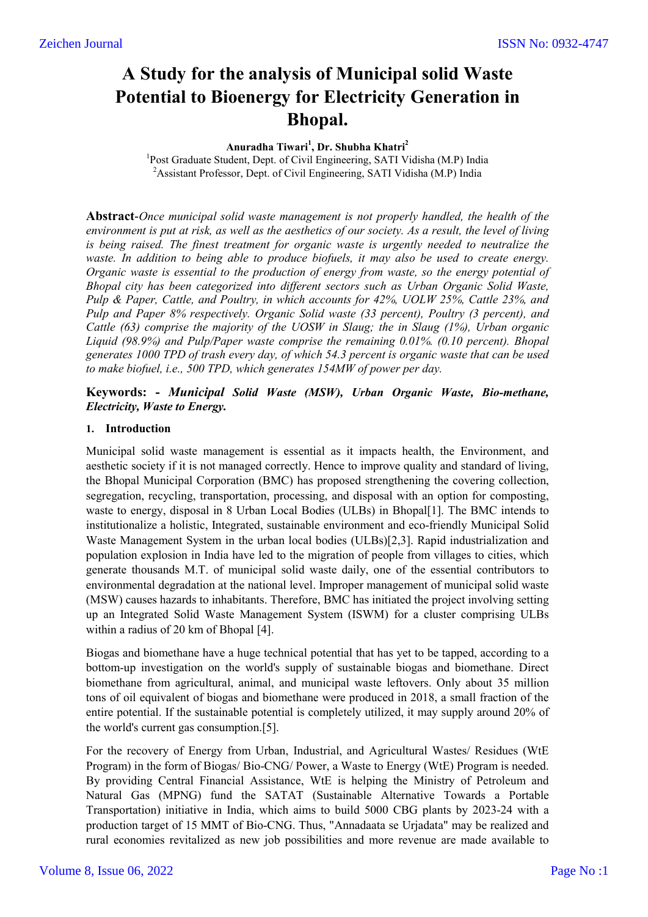# **A Study for the analysis of Municipal solid Waste Potential to Bioenergy for Electricity Generation in Bhopal.**

#### **Anuradha Tiwari<sup>1</sup> , Dr. Shubha Khatri2**

<sup>1</sup>Post Graduate Student, Dept. of Civil Engineering, SATI Vidisha (M.P) India <sup>2</sup> Assistant Professor, Dept. of Civil Engineering, SATI Vidisha (M.P) India

**Abstract**-*Once municipal solid waste management is not properly handled, the health of the environment is put at risk, as well as the aesthetics of our society. As a result, the level of living is being raised. The finest treatment for organic waste is urgently needed to neutralize the waste. In addition to being able to produce biofuels, it may also be used to create energy. Organic waste is essential to the production of energy from waste, so the energy potential of Bhopal city has been categorized into different sectors such as Urban Organic Solid Waste, Pulp & Paper, Cattle, and Poultry, in which accounts for 42%, UOLW 25%, Cattle 23%, and Pulp and Paper 8% respectively. Organic Solid waste (33 percent), Poultry (3 percent), and Cattle (63) comprise the majority of the UOSW in Slaug; the in Slaug (1%), Urban organic Liquid (98.9%) and Pulp/Paper waste comprise the remaining 0.01%. (0.10 percent). Bhopal generates 1000 TPD of trash every day, of which 54.3 percent is organic waste that can be used to make biofuel, i.e., 500 TPD, which generates 154MW of power per day.*

#### **Keywords: -** *Municipal Solid Waste (MSW), Urban Organic Waste, Bio-methane, Electricity, Waste to Energy.*

#### **1. Introduction**

Municipal solid waste management is essential as it impacts health, the Environment, and aesthetic society if it is not managed correctly. Hence to improve quality and standard of living, the Bhopal Municipal Corporation (BMC) has proposed strengthening the covering collection, segregation, recycling, transportation, processing, and disposal with an option for composting, waste to energy, disposal in 8 Urban Local Bodies (ULBs) in Bhopal[1]. The BMC intends to institutionalize a holistic, Integrated, sustainable environment and eco-friendly Municipal Solid Waste Management System in the urban local bodies (ULBs)[2,3]. Rapid industrialization and population explosion in India have led to the migration of people from villages to cities, which generate thousands M.T. of municipal solid waste daily, one of the essential contributors to environmental degradation at the national level. Improper management of municipal solid waste (MSW) causes hazards to inhabitants. Therefore, BMC has initiated the project involving setting up an Integrated Solid Waste Management System (ISWM) for a cluster comprising ULBs within a radius of 20 km of Bhopal [4].

Biogas and biomethane have a huge technical potential that has yet to be tapped, according to a bottom-up investigation on the world's supply of sustainable biogas and biomethane. Direct biomethane from agricultural, animal, and municipal waste leftovers. Only about 35 million tons of oil equivalent of biogas and biomethane were produced in 2018, a small fraction of the entire potential. If the sustainable potential is completely utilized, it may supply around 20% of the world's current gas consumption.[5].

For the recovery of Energy from Urban, Industrial, and Agricultural Wastes/ Residues (WtE Program) in the form of Biogas/ Bio-CNG/ Power, a Waste to Energy (WtE) Program is needed. By providing Central Financial Assistance, WtE is helping the Ministry of Petroleum and Natural Gas (MPNG) fund the SATAT (Sustainable Alternative Towards a Portable Transportation) initiative in India, which aims to build 5000 CBG plants by 2023-24 with a production target of 15 MMT of Bio-CNG. Thus, "Annadaata se Urjadata" may be realized and rural economies revitalized as new job possibilities and more revenue are made available to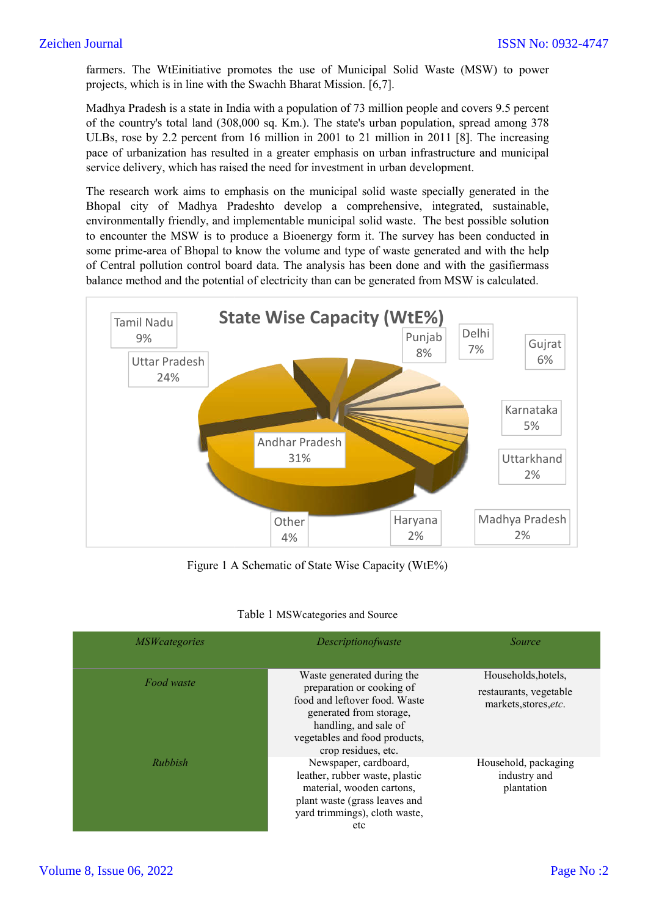farmers. The WtEinitiative promotes the use of Municipal Solid Waste (MSW) to power farmers. The WtEinitiative promotes the use of Municipal aprojects, which is in line with the Swachh Bharat Mission. [6,7].

Madhya Pradesh is a state in India with a population of 73 million people and covers 9.5 percent of the country's total land (308,000 sq. Km.). The state's urban population, spread among 378 ULBs, rose by 2.2 percent from 16 million in 2001 to 21 million in 2011 [8]. The increasing pace of urbanization has resulted in a greater emphasis on urban infrastructure and municipal service delivery, which has raised the need for investment in urban development.

The research work aims to emphasis on the municipal solid waste specially generated in the Bhopal city of Madhya Pradeshto develop a comprehensive, integrated, sustainable, environmentally friendly, and implementable municipal solid waste. The best possible solution to encounter the MSW is to produce a Bioenergy form it. The survey has been conducted in some prime-area of Bhopal to know the volume and type of waste generated and with the help of Central pollution control board data. The analysis has been done and with the balance method and the potential of electricity than can be generated from MSW is calculated. MSW is calculated. ation has resulted in a greater emphasis on urban infrastructure and municipal, which has raised the need for investment in urban development.<br>
ork aims to emphasis on the municipal solid waste specially generated in the<br> farmers. The WtEinitiative promotes the use of Municipal Solid Waste (MSW) to power<br>projects, which is in line with the Swachh Bharat Mission. [6,7].<br>Madhya Pradesh is a state in India with a population of 73 million peopl



Figure 1 A Schematic of State Wise Capacity (WtE%)

|  | Table 1 MSWcategories and Source |  |  |
|--|----------------------------------|--|--|
|--|----------------------------------|--|--|

| <i>MSWcategories</i> | Descriptionofwaste                                                                                                                                                                                   | Source                                                                 |
|----------------------|------------------------------------------------------------------------------------------------------------------------------------------------------------------------------------------------------|------------------------------------------------------------------------|
| Food waste           | Waste generated during the<br>preparation or cooking of<br>food and leftover food. Waste<br>generated from storage,<br>handling, and sale of<br>vegetables and food products,<br>crop residues, etc. | Households, hotels,<br>restaurants, vegetable<br>markets, stores, etc. |
| Rubbish              | Newspaper, cardboard,<br>leather, rubber waste, plastic<br>material, wooden cartons,<br>plant waste (grass leaves and<br>yard trimmings), cloth waste,<br>etc                                        | Household, packaging<br>industry and<br>plantation                     |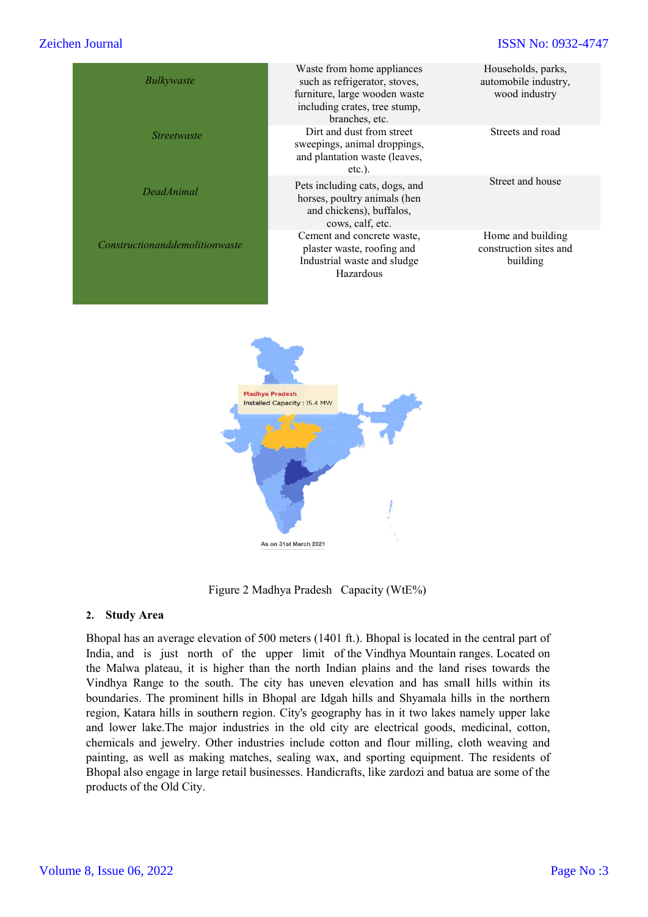# Zeichen Journal

| en Journal                                                                                                                                                                                                                                                                                                                                                                                                                                                                                                                                                                                                                                                                                                                                                                                                                                                                                                                                                                                     |                                                                                                                                                 | <b>ISSN No: 0932-4747</b>                                   |
|------------------------------------------------------------------------------------------------------------------------------------------------------------------------------------------------------------------------------------------------------------------------------------------------------------------------------------------------------------------------------------------------------------------------------------------------------------------------------------------------------------------------------------------------------------------------------------------------------------------------------------------------------------------------------------------------------------------------------------------------------------------------------------------------------------------------------------------------------------------------------------------------------------------------------------------------------------------------------------------------|-------------------------------------------------------------------------------------------------------------------------------------------------|-------------------------------------------------------------|
| Bulkywaste                                                                                                                                                                                                                                                                                                                                                                                                                                                                                                                                                                                                                                                                                                                                                                                                                                                                                                                                                                                     | Waste from home appliances<br>such as refrigerator, stoves,<br>furniture, large wooden waste<br>including crates, tree stump,<br>branches, etc. | Households, parks,<br>automobile industry,<br>wood industry |
| <b>Streetwaste</b>                                                                                                                                                                                                                                                                                                                                                                                                                                                                                                                                                                                                                                                                                                                                                                                                                                                                                                                                                                             | Dirt and dust from street<br>sweepings, animal droppings,<br>and plantation waste (leaves,<br>$etc.$ ).                                         | Streets and road                                            |
| <b>DeadAnimal</b>                                                                                                                                                                                                                                                                                                                                                                                                                                                                                                                                                                                                                                                                                                                                                                                                                                                                                                                                                                              | Pets including cats, dogs, and<br>horses, poultry animals (hen<br>and chickens), buffalos,<br>cows, calf, etc.                                  | Street and house                                            |
| Constructionanddemolitionwaste                                                                                                                                                                                                                                                                                                                                                                                                                                                                                                                                                                                                                                                                                                                                                                                                                                                                                                                                                                 | Cement and concrete waste,<br>plaster waste, roofing and<br>Industrial waste and sludge<br>Hazardous                                            | Home and building<br>construction sites and<br>building     |
|                                                                                                                                                                                                                                                                                                                                                                                                                                                                                                                                                                                                                                                                                                                                                                                                                                                                                                                                                                                                | As on 31st March 2021                                                                                                                           |                                                             |
|                                                                                                                                                                                                                                                                                                                                                                                                                                                                                                                                                                                                                                                                                                                                                                                                                                                                                                                                                                                                | Figure 2 Madhya Pradesh Capacity (WtE%)                                                                                                         |                                                             |
| <b>Study Area</b><br>2.                                                                                                                                                                                                                                                                                                                                                                                                                                                                                                                                                                                                                                                                                                                                                                                                                                                                                                                                                                        |                                                                                                                                                 |                                                             |
| Bhopal has an average elevation of 500 meters (1401 ft.). Bhopal is located in the central part of<br>India, and is just north of the upper limit of the Vindhya Mountain ranges. Located on<br>the Malwa plateau, it is higher than the north Indian plains and the land rises towards the<br>Vindhya Range to the south. The city has uneven elevation and has small hills within its<br>boundaries. The prominent hills in Bhopal are Idgah hills and Shyamala hills in the northern<br>region, Katara hills in southern region. City's geography has in it two lakes namely upper lake<br>and lower lake. The major industries in the old city are electrical goods, medicinal, cotton,<br>chemicals and jewelry. Other industries include cotton and flour milling, cloth weaving and<br>painting, as well as making matches, sealing wax, and sporting equipment. The residents of<br>Bhopal also engage in large retail businesses. Handicrafts, like zardozi and batua are some of the |                                                                                                                                                 |                                                             |



Figure 2 Madhya Pradesh Capacity (WtE%)

#### **2. Study Area**

Bhopal has an average elevation of 500 meters (1401 ft.). Bhopal is located in the central part of India, and is just north of the upper limit of the Vindhya Mountain ranges. Located on the Malwa plateau, it is higher than the north Indian plains and the land rises towards the Vindhya Range to the south. The city has uneven elevation and has small hills within its boundaries. The prominent hills in Bhopal are Idgah hills and Shyamala hills in the northern region, Katara hills in southern region. City's geography has in it two lakes namely upper lake , and lower lake.The major industries in the old city are electrical goods, medicinal, cotton, chemicals and jewelry. Other industries include cotton and flour milling, cloth weaving and painting, as well as making matches, sealing wax, and sporting equipment. The residents of Bhopal also engage in large retail businesses. Handicrafts, like zardozi and batua are some of the products of the Old City.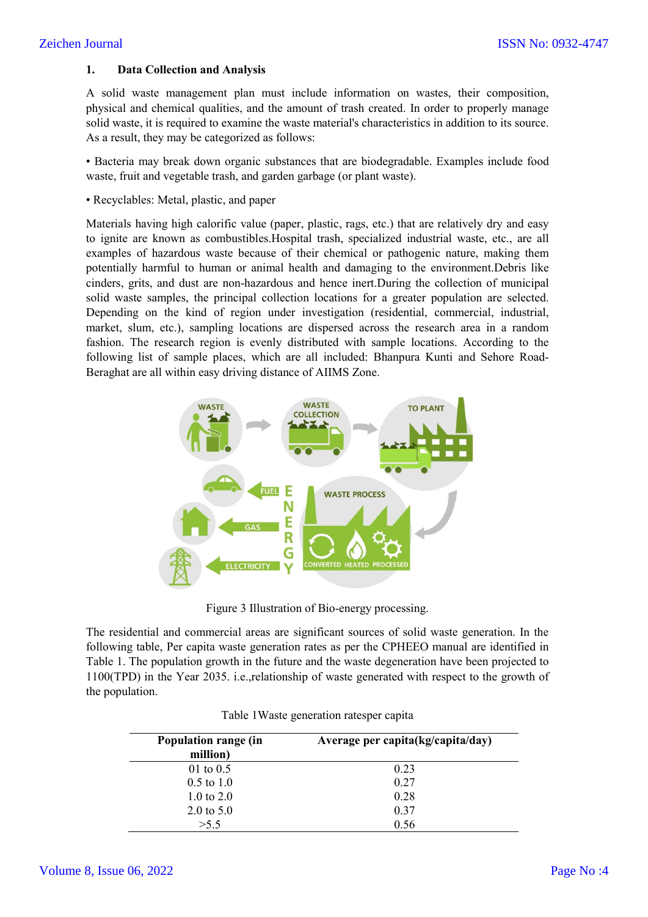# Zeichen Journal

## **1. Data Collection and Analysis**

A solid waste management plan must include information on wastes, their composition, physical and chemical qualities, and the amount of trash created. In order to properly manage solid waste, it is required to examine the waste material's characteristics in addition to its source. As a result, they may be categorized as follows:

• Bacteria may break down organic substances that are biodegradable. Examples include food waste, fruit and vegetable trash, and garden garbage (or plant waste).

• Recyclables: Metal, plastic, and paper

Materials having high calorific value (paper, plastic, rags, etc.) that are relatively dry and easy to ignite are known as combustibles.Hospital trash, specialized industrial waste, etc., are all examples of hazardous waste because of their chemical or pathogenic nature, making them potentially harmful to human or animal health and damaging to the environment.Debris like cinders, grits, and dust are non-hazardous and hence inert.During the collection of municipal solid waste samples, the principal collection locations for a greater population are selected. Depending on the kind of region under investigation (residential, commercial, industrial, market, slum, etc.), sampling locations are dispersed across the research area in a random fashion. The research region is evenly distributed with sample locations. According to the following list of sample places, which are all included: Bhanpura Kunti and Sehore Road-Beraghat are all within easy driving distance of AIIMS Zone.



Figure 3 Illustration of Bio-energy processing.

The residential and commercial areas are significant sources of solid waste generation. In the following table, Per capita waste generation rates as per the CPHEEO manual are identified in Table 1. The population growth in the future and the waste degeneration have been projected to 1100(TPD) in the Year 2035. i.e.,relationship of waste generated with respect to the growth of the population.

| Population range (in<br>million) | Average per capita(kg/capita/day) |  |
|----------------------------------|-----------------------------------|--|
| 01 to $0.5$                      | 0.23                              |  |
| $0.5 \text{ to } 1.0$            | 0.27                              |  |
| 1.0 to $2.0$                     | 0.28                              |  |
| $2.0 \text{ to } 5.0$            | 0.37                              |  |
| >5.5                             | 0.56                              |  |

|  |  | Table 1 Waste generation ratesper capita |  |  |
|--|--|------------------------------------------|--|--|
|--|--|------------------------------------------|--|--|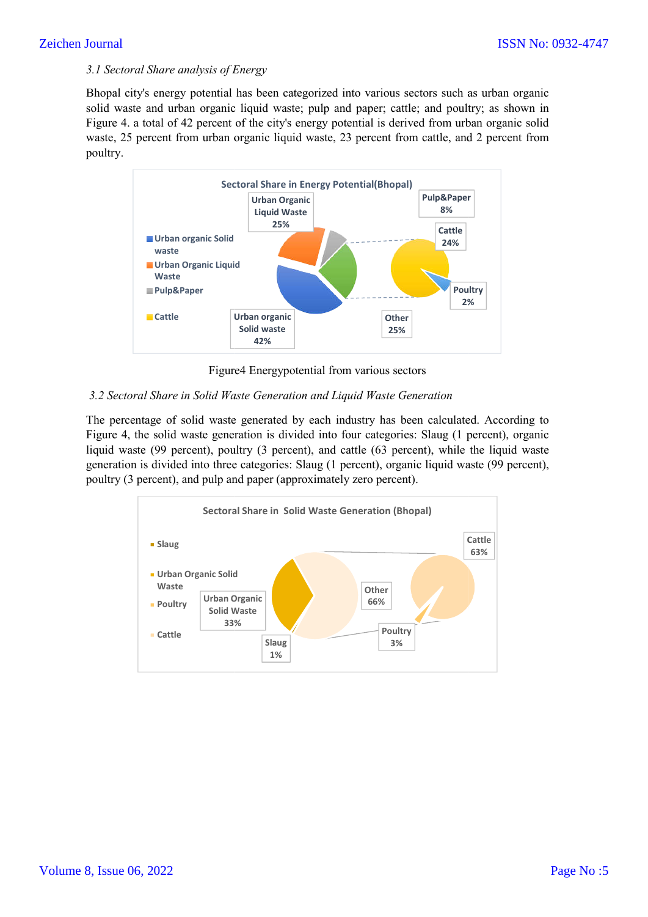#### *3.1 Sectoral Share analysis of Energy*

Bhopal city's energy potential has been categorized into various sectors such as urban organic solid waste and urban organic liquid waste; pulp and paper; cattle; and poultry; as shown in Figure 4. a total of 42 percent of the city's energy potential is derived from urban organic solid waste, 25 percent from urban organic liquid waste, 23 percent from cattle, and 2 percent from poultry.



Figure Figure4 Energypotential from various sectors

#### *3.2 Sectoral Share in Solid Waste Generation and Liquid Waste Generation*

The percentage of solid waste generated by each industry has been calculated. According to Figure 4, the solid waste generation is divided into four categories: Slaug (1 percent), organic liquid waste (99 percent), poultry (3 percent), and cattle (63 percent), while the liquid waste generation is divided into three categories: Slaug (1 percent), organic liquid waste (99 percent), poultry (3 percent), and pulp and paper (approximately zero percent).

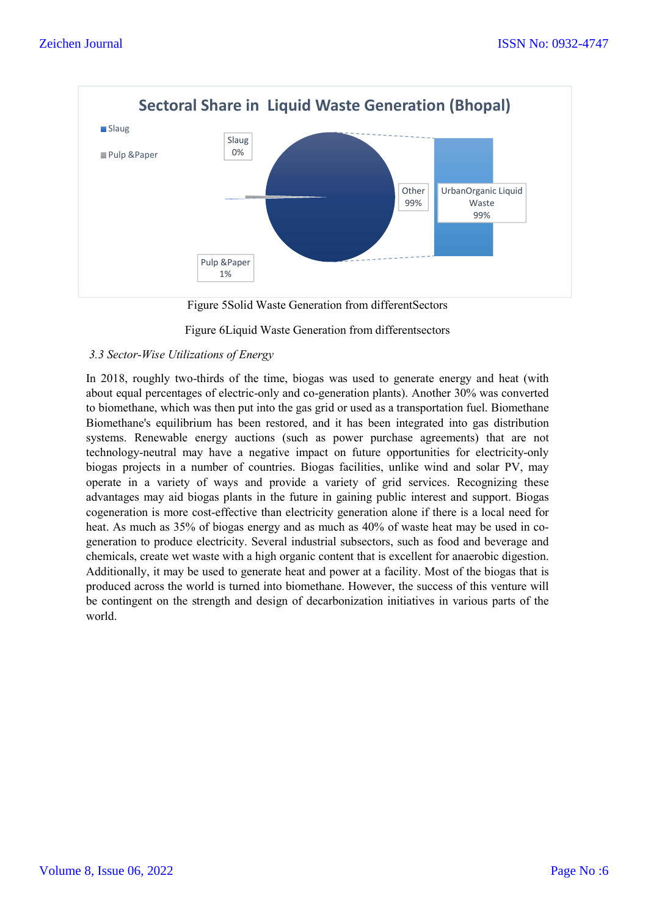

Figure 5Solid Waste Generation from differentSectors

#### Figure 6Liquid Waste Generation from differentsectors

#### *3.3 Sector-Wise Utilizations of Energy*

In 2018, roughly two-thirds of the time, biogas was used to generate energy and heat (with about equal percentages of electric-only and co-generation plants). Another 30% was converted to biomethane, which was then put into the gas grid or used as a transportation fuel. Biomethane Biomethane's equilibrium has been restored, and it has been integrated into gas distribution systems. Renewable energy auctions (such as power purchase agreements) that are not technology-neutral may have a negative impact on future opportunities for electricity-only biogas projects in a number of countries. Biogas facilities, unlike wind and solar PV, may operate in a variety of ways and provide a variety of grid services. Recognizing these advantages may aid biogas plants in the future in gaining public interest and support. Biogas cogeneration is more cost-effective than electricity generation alone if there is a local need for heat. As much as 35% of biogas energy and as much as 40% of waste heat may be used in cogeneration to produce electricity. Several industrial subsectors, such as food and beverage and chemicals, create wet waste with a high organic content that is excellent for anaerobic digestion. Additionally, it may be used to generate heat and power at a facility. Most of the biogas that is produced across the world is turned into biomethane. However, the success of this venture will be contingent on the strength and design of decarbonization initiatives in various parts of the world.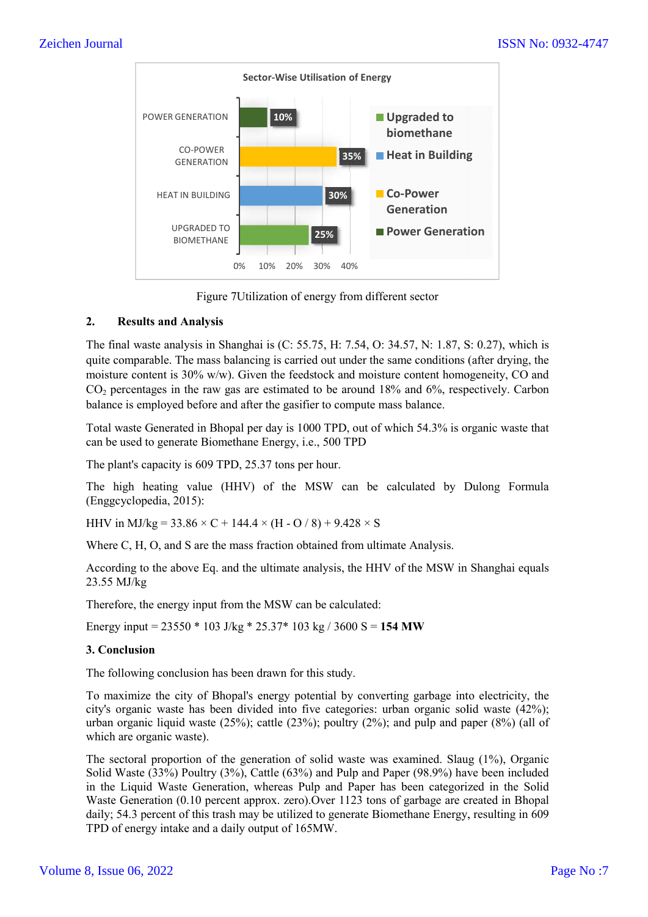

Figure 7 7Utilization of energy from different sector

#### **2. Results and Analysis**

The final waste analysis in Shanghai is (C: 55.75, H: 7.54, O: 34.57, N: 1.87, S: 0.27), which is quite comparable. The mass balancing is carried out under the same conditions (after drying, the The final waste analysis in Shanghai is (C: 55.75, H: 7.54, O: 34.57, N: 1.87, S: 0.27), which is quite comparable. The mass balancing is carried out under the same conditions (after drying, the moisture content is 30% w/w  $CO<sub>2</sub>$  percentages in the raw gas are estimated to be around 18% and 6%, respectively. Carbon balance is employed before and after the gasifier to compute mass balance balance.

Total waste Generated in Bhopal per day is 1000 TPD, out of which 54.3% is organic waste that can be used to generate Biomethane Energy, i.e., 500 TPD

The plant's capacity is 609 TPD, 25.37 tons per hour.

The high heating value (HHV) of the MSW can be calculated by Dulong Formula (Enggcyclopedia, 2015):

HHV in MJ/kg =  $33.86 \times C + 144.4 \times (H - O / 8) + 9.428 \times S$ 

Where C, H, O, and S are the mass fraction obtained from ultimate Analysis.

According to the above Eq. and the ultimate analysis, the HHV of the MSW in Shanghai equals 23.55 MJ/kg

Therefore, the energy input from the MSW can be calculated:

Energy input = 23550 \* 103 J/kg \* 25.37\* 103 kg / 3600 S = **154 MW**

# **3. Conclusion**

The following conclusion has been drawn for this study.

To maximize the city of Bhopal's energy potential by converting garbage into electricity, the city's organic waste has been divided into five categories: urban organic solid waste (42%); urban organic liquid waste (25%); cattle (23%); poultry (2%); and pulp and paper (8%) (all of which are organic waste). he following conclusion has been drawn for this study.<br>
o maximize the city of Bhopal's energy potential by converting garbage into electricity, the<br>
ity's organic waste has been divided into five categories: urban organic

The sectoral proportion of the generation of solid waste was examined. Slaug (1%), Organic Solid Waste (33%) Poultry (3%), Cattle (63%) and Pulp and Paper (98.9%) have been included in the Liquid Waste Generation, whereas Pulp and Paper has been categorized in the Solid Waste Generation (0.10 percent approx. zero).Over 1123 tons of garbage are created in Bhopal daily; 54.3 percent of this trash may be utilized to generate Biomethane Energy, resulting in 609 TPD of energy intake and a daily output of 165MW.